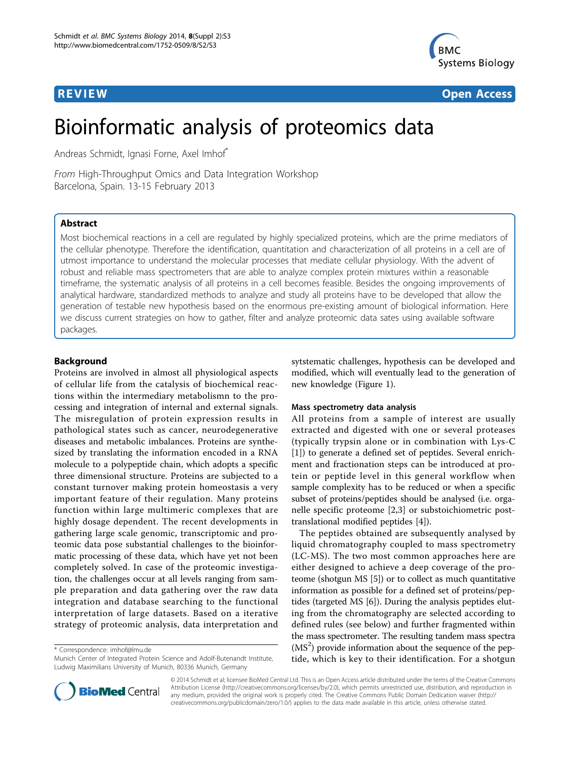

**REVIEW CONSTRUCTION CONSTRUCTION CONSTRUCTS** 

# Bioinformatic analysis of proteomics data

Andreas Schmidt, Ignasi Forne, Axel Imhof

From High-Throughput Omics and Data Integration Workshop Barcelona, Spain. 13-15 February 2013

# Abstract

Most biochemical reactions in a cell are regulated by highly specialized proteins, which are the prime mediators of the cellular phenotype. Therefore the identification, quantitation and characterization of all proteins in a cell are of utmost importance to understand the molecular processes that mediate cellular physiology. With the advent of robust and reliable mass spectrometers that are able to analyze complex protein mixtures within a reasonable timeframe, the systematic analysis of all proteins in a cell becomes feasible. Besides the ongoing improvements of analytical hardware, standardized methods to analyze and study all proteins have to be developed that allow the generation of testable new hypothesis based on the enormous pre-existing amount of biological information. Here we discuss current strategies on how to gather, filter and analyze proteomic data sates using available software packages.

## Background

Proteins are involved in almost all physiological aspects of cellular life from the catalysis of biochemical reactions within the intermediary metabolismn to the processing and integration of internal and external signals. The misregulation of protein expression results in pathological states such as cancer, neurodegenerative diseases and metabolic imbalances. Proteins are synthesized by translating the information encoded in a RNA molecule to a polypeptide chain, which adopts a specific three dimensional structure. Proteins are subjected to a constant turnover making protein homeostasis a very important feature of their regulation. Many proteins function within large multimeric complexes that are highly dosage dependent. The recent developments in gathering large scale genomic, transcriptomic and proteomic data pose substantial challenges to the bioinformatic processing of these data, which have yet not been completely solved. In case of the proteomic investigation, the challenges occur at all levels ranging from sample preparation and data gathering over the raw data integration and database searching to the functional interpretation of large datasets. Based on a iterative strategy of proteomic analysis, data interpretation and

\* Correspondence: [imhof@lmu.de](mailto:imhof@lmu.de)

Munich Center of Integrated Protein Science and Adolf-Butenandt Institute, Ludwig Maximilians University of Munich, 80336 Munich, Germany

sytstematic challenges, hypothesis can be developed and modified, which will eventually lead to the generation of new knowledge (Figure [1](#page-1-0)).

### Mass spectrometry data analysis

All proteins from a sample of interest are usually extracted and digested with one or several proteases (typically trypsin alone or in combination with Lys-C [[1\]](#page-4-0)) to generate a defined set of peptides. Several enrichment and fractionation steps can be introduced at protein or peptide level in this general workflow when sample complexity has to be reduced or when a specific subset of proteins/peptides should be analysed (i.e. organelle specific proteome [[2,3\]](#page-4-0) or substoichiometric posttranslational modified peptides [[4](#page-4-0)]).

The peptides obtained are subsequently analysed by liquid chromatography coupled to mass spectrometry (LC-MS). The two most common approaches here are either designed to achieve a deep coverage of the proteome (shotgun MS [\[5\]](#page-4-0)) or to collect as much quantitative information as possible for a defined set of proteins/peptides (targeted MS [[6\]](#page-4-0)). During the analysis peptides eluting from the chromatography are selected according to defined rules (see below) and further fragmented within the mass spectrometer. The resulting tandem mass spectra  $(MS<sup>2</sup>)$  provide information about the sequence of the peptide, which is key to their identification. For a shotgun



© 2014 Schmidt et al; licensee BioMed Central Ltd. This is an Open Access article distributed under the terms of the Creative Commons Attribution License [\(http://creativecommons.org/licenses/by/2.0](http://creativecommons.org/licenses/by/2.0)), which permits unrestricted use, distribution, and reproduction in any medium, provided the original work is properly cited. The Creative Commons Public Domain Dedication waiver [\(http://](http://creativecommons.org/publicdomain/zero/1.0/) [creativecommons.org/publicdomain/zero/1.0/](http://creativecommons.org/publicdomain/zero/1.0/)) applies to the data made available in this article, unless otherwise stated.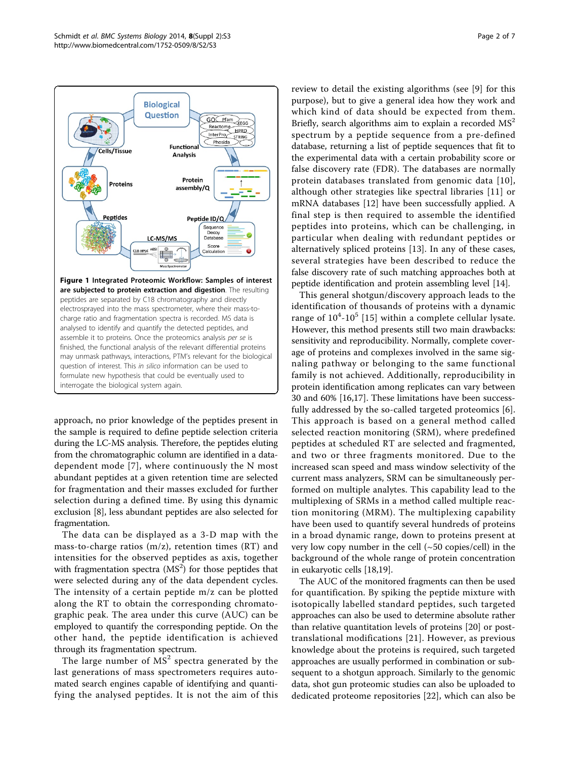<span id="page-1-0"></span>

approach, no prior knowledge of the peptides present in the sample is required to define peptide selection criteria during the LC-MS analysis. Therefore, the peptides eluting from the chromatographic column are identified in a datadependent mode [[7](#page-4-0)], where continuously the N most abundant peptides at a given retention time are selected for fragmentation and their masses excluded for further selection during a defined time. By using this dynamic exclusion [\[8\]](#page-4-0), less abundant peptides are also selected for fragmentation.

The data can be displayed as a 3-D map with the mass-to-charge ratios  $(m/z)$ , retention times  $(RT)$  and intensities for the observed peptides as axis, together with fragmentation spectra  $(MS<sup>2</sup>)$  for those peptides that were selected during any of the data dependent cycles. The intensity of a certain peptide m/z can be plotted along the RT to obtain the corresponding chromatographic peak. The area under this curve (AUC) can be employed to quantify the corresponding peptide. On the other hand, the peptide identification is achieved through its fragmentation spectrum.

The large number of  $MS<sup>2</sup>$  spectra generated by the last generations of mass spectrometers requires automated search engines capable of identifying and quantifying the analysed peptides. It is not the aim of this review to detail the existing algorithms (see [\[9](#page-4-0)] for this purpose), but to give a general idea how they work and which kind of data should be expected from them. Briefly, search algorithms aim to explain a recorded  $MS<sup>2</sup>$ spectrum by a peptide sequence from a pre-defined database, returning a list of peptide sequences that fit to the experimental data with a certain probability score or false discovery rate (FDR). The databases are normally protein databases translated from genomic data [[10\]](#page-4-0), although other strategies like spectral libraries [[11\]](#page-4-0) or mRNA databases [[12\]](#page-4-0) have been successfully applied. A final step is then required to assemble the identified peptides into proteins, which can be challenging, in particular when dealing with redundant peptides or alternatively spliced proteins [[13\]](#page-4-0). In any of these cases, several strategies have been described to reduce the false discovery rate of such matching approaches both at peptide identification and protein assembling level [\[14\]](#page-5-0).

This general shotgun/discovery approach leads to the identification of thousands of proteins with a dynamic range of  $10^4$ -10<sup>5</sup> [\[15\]](#page-5-0) within a complete cellular lysate. However, this method presents still two main drawbacks: sensitivity and reproducibility. Normally, complete coverage of proteins and complexes involved in the same signaling pathway or belonging to the same functional family is not achieved. Additionally, reproducibility in protein identification among replicates can vary between 30 and 60% [[16,17\]](#page-5-0). These limitations have been successfully addressed by the so-called targeted proteomics [\[6](#page-4-0)]. This approach is based on a general method called selected reaction monitoring (SRM), where predefined peptides at scheduled RT are selected and fragmented, and two or three fragments monitored. Due to the increased scan speed and mass window selectivity of the current mass analyzers, SRM can be simultaneously performed on multiple analytes. This capability lead to the multiplexing of SRMs in a method called multiple reaction monitoring (MRM). The multiplexing capability have been used to quantify several hundreds of proteins in a broad dynamic range, down to proteins present at very low copy number in the cell (~50 copies/cell) in the background of the whole range of protein concentration in eukaryotic cells [[18](#page-5-0),[19](#page-5-0)].

The AUC of the monitored fragments can then be used for quantification. By spiking the peptide mixture with isotopically labelled standard peptides, such targeted approaches can also be used to determine absolute rather than relative quantitation levels of proteins [[20\]](#page-5-0) or posttranslational modifications [[21\]](#page-5-0). However, as previous knowledge about the proteins is required, such targeted approaches are usually performed in combination or subsequent to a shotgun approach. Similarly to the genomic data, shot gun proteomic studies can also be uploaded to dedicated proteome repositories [[22\]](#page-5-0), which can also be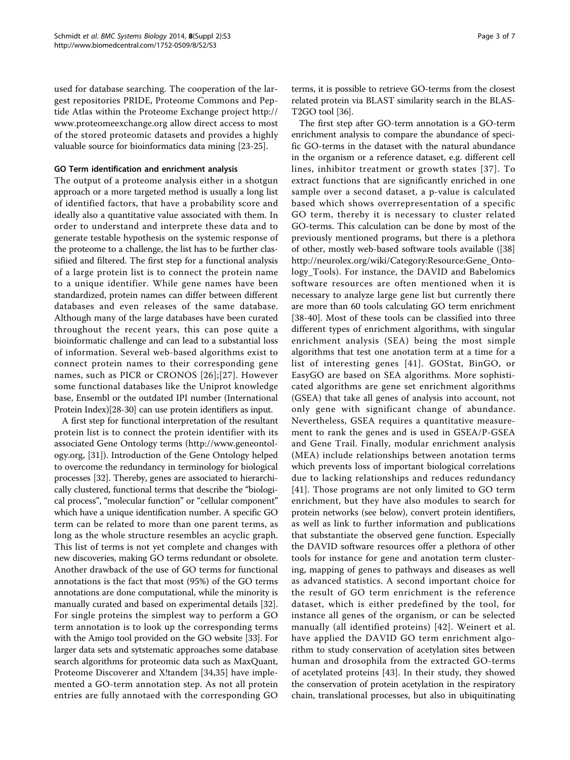used for database searching. The cooperation of the largest repositories PRIDE, Proteome Commons and Peptide Atlas within the Proteome Exchange project [http://](http://www.proteomeexchange.org) [www.proteomeexchange.org](http://www.proteomeexchange.org) allow direct access to most of the stored proteomic datasets and provides a highly valuable source for bioinformatics data mining [[23-25\]](#page-5-0).

# GO Term identification and enrichment analysis

The output of a proteome analysis either in a shotgun approach or a more targeted method is usually a long list of identified factors, that have a probability score and ideally also a quantitative value associated with them. In order to understand and interprete these data and to generate testable hypothesis on the systemic response of the proteome to a challenge, the list has to be further classifiied and filtered. The first step for a functional analysis of a large protein list is to connect the protein name to a unique identifier. While gene names have been standardized, protein names can differ between different databases and even releases of the same database. Although many of the large databases have been curated throughout the recent years, this can pose quite a bioinformatic challenge and can lead to a substantial loss of information. Several web-based algorithms exist to connect protein names to their corresponding gene names, such as PICR or CRONOS [[26](#page-5-0)];[[27](#page-5-0)]. However some functional databases like the Uniprot knowledge base, Ensembl or the outdated IPI number (International Protein Index)[\[28-30\]](#page-5-0) can use protein identifiers as input.

A first step for functional interpretation of the resultant protein list is to connect the protein identifier with its associated Gene Ontology terms ([http://www.geneontol](http://www.geneontology.org)[ogy.org,](http://www.geneontology.org) [[31\]](#page-5-0)). Introduction of the Gene Ontology helped to overcome the redundancy in terminology for biological processes [[32](#page-5-0)]. Thereby, genes are associated to hierarchically clustered, functional terms that describe the "biological process", "molecular function" or "cellular component" which have a unique identification number. A specific GO term can be related to more than one parent terms, as long as the whole structure resembles an acyclic graph. This list of terms is not yet complete and changes with new discoveries, making GO terms redundant or obsolete. Another drawback of the use of GO terms for functional annotations is the fact that most (95%) of the GO terms annotations are done computational, while the minority is manually curated and based on experimental details [\[32](#page-5-0)]. For single proteins the simplest way to perform a GO term annotation is to look up the corresponding terms with the Amigo tool provided on the GO website [\[33\]](#page-5-0). For larger data sets and sytstematic approaches some database search algorithms for proteomic data such as MaxQuant, Proteome Discoverer and X!tandem [[34,35](#page-5-0)] have implemented a GO-term annotation step. As not all protein entries are fully annotaed with the corresponding GO

terms, it is possible to retrieve GO-terms from the closest related protein via BLAST similarity search in the BLAS-T2GO tool [[36](#page-5-0)].

The first step after GO-term annotation is a GO-term enrichment analysis to compare the abundance of specific GO-terms in the dataset with the natural abundance in the organism or a reference dataset, e.g. different cell lines, inhibitor treatment or growth states [[37](#page-5-0)]. To extract functions that are significantly enriched in one sample over a second dataset, a p-value is calculated based which shows overrepresentation of a specific GO term, thereby it is necessary to cluster related GO-terms. This calculation can be done by most of the previously mentioned programs, but there is a plethora of other, mostly web-based software tools available ([[38](#page-5-0)] [http://neurolex.org/wiki/Category:Resource:Gene\\_Onto](http://neurolex.org/wiki/Category:Resource:Gene_Ontology_Tools)[logy\\_Tools](http://neurolex.org/wiki/Category:Resource:Gene_Ontology_Tools)). For instance, the DAVID and Babelomics software resources are often mentioned when it is necessary to analyze large gene list but currently there are more than 60 tools calculating GO term enrichment [[38-40\]](#page-5-0). Most of these tools can be classified into three different types of enrichment algorithms, with singular enrichment analysis (SEA) being the most simple algorithms that test one anotation term at a time for a list of interesting genes [[41](#page-5-0)]. GOStat, BinGO, or EasyGO are based on SEA algorithms. More sophisticated algorithms are gene set enrichment algorithms (GSEA) that take all genes of analysis into account, not only gene with significant change of abundance. Nevertheless, GSEA requires a quantitative measurement to rank the genes and is used in GSEA/P-GSEA and Gene Trail. Finally, modular enrichment analysis (MEA) include relationships between anotation terms which prevents loss of important biological correlations due to lacking relationships and reduces redundancy [[41](#page-5-0)]. Those programs are not only limited to GO term enrichment, but they have also modules to search for protein networks (see below), convert protein identifiers, as well as link to further information and publications that substantiate the observed gene function. Especially the DAVID software resources offer a plethora of other tools for instance for gene and anotation term clustering, mapping of genes to pathways and diseases as well as advanced statistics. A second important choice for the result of GO term enrichment is the reference dataset, which is either predefined by the tool, for instance all genes of the organism, or can be selected manually (all identified proteins) [[42\]](#page-5-0). Weinert et al. have applied the DAVID GO term enrichment algorithm to study conservation of acetylation sites between human and drosophila from the extracted GO-terms of acetylated proteins [[43\]](#page-5-0). In their study, they showed the conservation of protein acetylation in the respiratory chain, translational processes, but also in ubiquitinating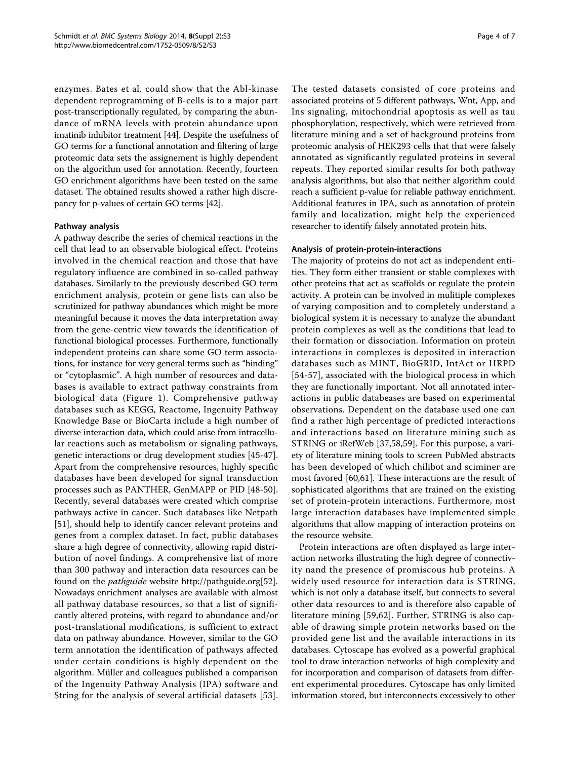enzymes. Bates et al. could show that the Abl-kinase dependent reprogramming of B-cells is to a major part post-transcriptionally regulated, by comparing the abundance of mRNA levels with protein abundance upon imatinib inhibitor treatment [\[44\]](#page-5-0). Despite the usefulness of GO terms for a functional annotation and filtering of large proteomic data sets the assignement is highly dependent on the algorithm used for annotation. Recently, fourteen GO enrichment algorithms have been tested on the same dataset. The obtained results showed a rather high discrepancy for p-values of certain GO terms [\[42\]](#page-5-0).

# Pathway analysis

A pathway describe the series of chemical reactions in the cell that lead to an observable biological effect. Proteins involved in the chemical reaction and those that have regulatory influence are combined in so-called pathway databases. Similarly to the previously described GO term enrichment analysis, protein or gene lists can also be scrutinized for pathway abundances which might be more meaningful because it moves the data interpretation away from the gene-centric view towards the identification of functional biological processes. Furthermore, functionally independent proteins can share some GO term associations, for instance for very general terms such as "binding" or "cytoplasmic". A high number of resources and databases is available to extract pathway constraints from biological data (Figure [1](#page-1-0)). Comprehensive pathway databases such as KEGG, Reactome, Ingenuity Pathway Knowledge Base or BioCarta include a high number of diverse interaction data, which could arise from intracellular reactions such as metabolism or signaling pathways, genetic interactions or drug development studies [\[45-47](#page-5-0)]. Apart from the comprehensive resources, highly specific databases have been developed for signal transduction processes such as PANTHER, GenMAPP or PID [\[48-50](#page-5-0)]. Recently, several databases were created which comprise pathways active in cancer. Such databases like Netpath [[51\]](#page-5-0), should help to identify cancer relevant proteins and genes from a complex dataset. In fact, public databases share a high degree of connectivity, allowing rapid distribution of novel findings. A comprehensive list of more than 300 pathway and interaction data resources can be found on the *pathguide* website<http://pathguide.org>[\[52](#page-5-0)]. Nowadays enrichment analyses are available with almost all pathway database resources, so that a list of significantly altered proteins, with regard to abundance and/or post-translational modifications, is sufficient to extract data on pathway abundance. However, similar to the GO term annotation the identification of pathways affected under certain conditions is highly dependent on the algorithm. Müller and colleagues published a comparison of the Ingenuity Pathway Analysis (IPA) software and String for the analysis of several artificial datasets [[53](#page-5-0)]. The tested datasets consisted of core proteins and associated proteins of 5 different pathways, Wnt, App, and Ins signaling, mitochondrial apoptosis as well as tau phosphorylation, respectively, which were retrieved from literature mining and a set of background proteins from proteomic analysis of HEK293 cells that that were falsely annotated as significantly regulated proteins in several repeats. They reported similar results for both pathway analysis algorithms, but also that neither algorithm could reach a sufficient p-value for reliable pathway enrichment. Additional features in IPA, such as annotation of protein family and localization, might help the experienced researcher to identify falsely annotated protein hits.

### Analysis of protein-protein-interactions

The majority of proteins do not act as independent entities. They form either transient or stable complexes with other proteins that act as scaffolds or regulate the protein activity. A protein can be involved in mulitiple complexes of varying composition and to completely understand a biological system it is necessary to analyze the abundant protein complexes as well as the conditions that lead to their formation or dissociation. Information on protein interactions in complexes is deposited in interaction databases such as MINT, BioGRID, IntAct or HRPD [[54](#page-5-0)-[57](#page-5-0)], associated with the biological process in which they are functionally important. Not all annotated interactions in public databeases are based on experimental observations. Dependent on the database used one can find a rather high percentage of predicted interactions and interactions based on literature mining such as STRING or iRefWeb [[37,58,](#page-5-0)[59](#page-6-0)]. For this purpose, a variety of literature mining tools to screen PubMed abstracts has been developed of which chilibot and sciminer are most favored [\[60,61](#page-6-0)]. These interactions are the result of sophisticated algorithms that are trained on the existing set of protein-protein interactions. Furthermore, most large interaction databases have implemented simple algorithms that allow mapping of interaction proteins on the resource website.

Protein interactions are often displayed as large interaction networks illustrating the high degree of connectivity nand the presence of promiscous hub proteins. A widely used resource for interaction data is STRING, which is not only a database itself, but connects to several other data resources to and is therefore also capable of literature mining [[59](#page-6-0),[62\]](#page-6-0). Further, STRING is also capable of drawing simple protein networks based on the provided gene list and the available interactions in its databases. Cytoscape has evolved as a powerful graphical tool to draw interaction networks of high complexity and for incorporation and comparison of datasets from different experimental procedures. Cytoscape has only limited information stored, but interconnects excessively to other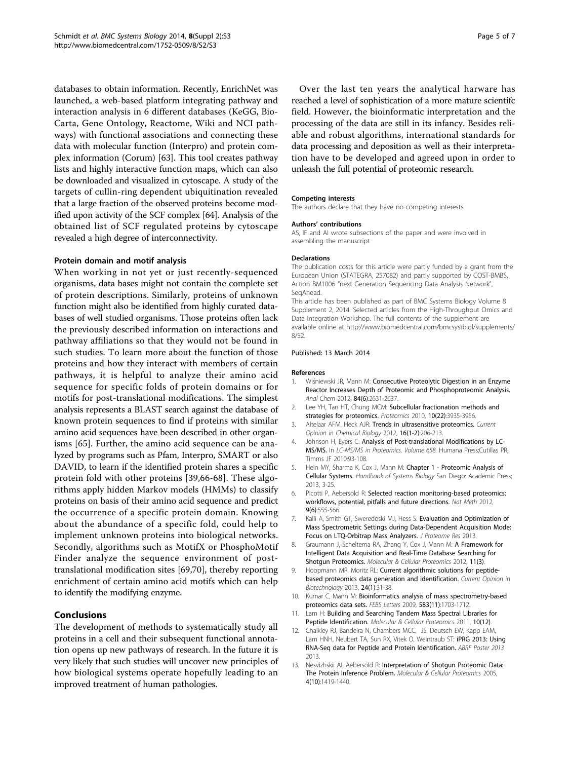<span id="page-4-0"></span>databases to obtain information. Recently, EnrichNet was launched, a web-based platform integrating pathway and interaction analysis in 6 different databases (KeGG, Bio-Carta, Gene Ontology, Reactome, Wiki and NCI pathways) with functional associations and connecting these data with molecular function (Interpro) and protein complex information (Corum) [[63](#page-6-0)]. This tool creates pathway lists and highly interactive function maps, which can also be downloaded and visualized in cytoscape. A study of the targets of cullin-ring dependent ubiquitination revealed that a large fraction of the observed proteins become modified upon activity of the SCF complex [[64](#page-6-0)]. Analysis of the obtained list of SCF regulated proteins by cytoscape revealed a high degree of interconnectivity.

### Protein domain and motif analysis

When working in not yet or just recently-sequenced organisms, data bases might not contain the complete set of protein descriptions. Similarly, proteins of unknown function might also be identified from highly curated databases of well studied organisms. Those proteins often lack the previously described information on interactions and pathway affiliations so that they would not be found in such studies. To learn more about the function of those proteins and how they interact with members of certain pathways, it is helpful to analyze their amino acid sequence for specific folds of protein domains or for motifs for post-translational modifications. The simplest analysis represents a BLAST search against the database of known protein sequences to find if proteins with similar amino acid sequences have been described in other organisms [[65\]](#page-6-0). Further, the amino acid sequence can be analyzed by programs such as Pfam, Interpro, SMART or also DAVID, to learn if the identified protein shares a specific protein fold with other proteins [[39](#page-5-0)[,66](#page-6-0)-[68](#page-6-0)]. These algorithms apply hidden Markov models (HMMs) to classify proteins on basis of their amino acid sequence and predict the occurrence of a specific protein domain. Knowing about the abundance of a specific fold, could help to implement unknown proteins into biological networks. Secondly, algorithms such as MotifX or PhosphoMotif Finder analyze the sequence environment of posttranslational modification sites [[69,70\]](#page-6-0), thereby reporting enrichment of certain amino acid motifs which can help to identify the modifying enzyme.

# Conclusions

The development of methods to systematically study all proteins in a cell and their subsequent functional annotation opens up new pathways of research. In the future it is very likely that such studies will uncover new principles of how biological systems operate hopefully leading to an improved treatment of human pathologies.

Over the last ten years the analytical harware has reached a level of sophistication of a more mature scientifc field. However, the bioinformatic interpretation and the processing of the data are still in its infancy. Besides reliable and robust algorithms, international standards for data processing and deposition as well as their interpretation have to be developed and agreed upon in order to unleash the full potential of proteomic research.

#### Competing interests

The authors declare that they have no competing interests.

#### Authors' contributions

AS, IF and AI wrote subsections of the paper and were involved in assembling the manuscript

#### Declarations

The publication costs for this article were partly funded by a grant from the European Union (STATEGRA, 257082) and partly supported by COST-BMBS, Action BM1006 "next Generation Sequencing Data Analysis Network", SeqAhead.

This article has been published as part of BMC Systems Biology Volume 8 Supplement 2, 2014: Selected articles from the High-Throughput Omics and Data Integration Workshop. The full contents of the supplement are available online at [http://www.biomedcentral.com/bmcsystbiol/supplements/](http://www.biomedcentral.com/bmcsystbiol/supplements/8/S2) [8/S2.](http://www.biomedcentral.com/bmcsystbiol/supplements/8/S2)

#### Published: 13 March 2014

#### References

- Wiśniewski JR, Mann M: [Consecutive Proteolytic Digestion in an Enzyme](http://www.ncbi.nlm.nih.gov/pubmed/22324799?dopt=Abstract) [Reactor Increases Depth of Proteomic and Phosphoproteomic Analysis.](http://www.ncbi.nlm.nih.gov/pubmed/22324799?dopt=Abstract) Anal Chem 2012, 84(6):2631-2637.
- 2. Lee YH, Tan HT, Chung MCM: [Subcellular fractionation methods and](http://www.ncbi.nlm.nih.gov/pubmed/21080488?dopt=Abstract) [strategies for proteomics.](http://www.ncbi.nlm.nih.gov/pubmed/21080488?dopt=Abstract) Proteomics 2010, 10(22):3935-3956.
- 3. Altelaar AFM, Heck AJR: [Trends in ultrasensitive proteomics.](http://www.ncbi.nlm.nih.gov/pubmed/22226769?dopt=Abstract) Current Opinion in Chemical Biology 2012, 16(1-2):206-213.
- 4. Johnson H, Eyers C: [Analysis of Post-translational Modifications by LC-](http://www.ncbi.nlm.nih.gov/pubmed/20839099?dopt=Abstract)[MS/MS.](http://www.ncbi.nlm.nih.gov/pubmed/20839099?dopt=Abstract) In LC-MS/MS in Proteomics. Volume 658. Humana Press;Cutillas PR, Timms JF 2010:93-108.
- 5. Hein MY, Sharma K, Cox J, Mann M: Chapter 1 Proteomic Analysis of Cellular Systems. Handbook of Systems Biology San Diego: Academic Press; 2013, 3-25.
- 6. Picotti P, Aebersold R: [Selected reaction monitoring-based proteomics:](http://www.ncbi.nlm.nih.gov/pubmed/22669653?dopt=Abstract) [workflows, potential, pitfalls and future directions.](http://www.ncbi.nlm.nih.gov/pubmed/22669653?dopt=Abstract) Nat Meth 2012, 9(6):555-566.
- 7. Kalli A, Smith GT, Sweredoski MJ, Hess S: [Evaluation and Optimization of](http://www.ncbi.nlm.nih.gov/pubmed/23642296?dopt=Abstract) [Mass Spectrometric Settings during Data-Dependent Acquisition Mode:](http://www.ncbi.nlm.nih.gov/pubmed/23642296?dopt=Abstract) [Focus on LTQ-Orbitrap Mass Analyzers.](http://www.ncbi.nlm.nih.gov/pubmed/23642296?dopt=Abstract) J Proteome Res 2013.
- 8. Graumann J, Scheltema RA, Zhang Y, Cox J, Mann M: [A Framework for](http://www.ncbi.nlm.nih.gov/pubmed/22171319?dopt=Abstract) [Intelligent Data Acquisition and Real-Time Database Searching for](http://www.ncbi.nlm.nih.gov/pubmed/22171319?dopt=Abstract) [Shotgun Proteomics.](http://www.ncbi.nlm.nih.gov/pubmed/22171319?dopt=Abstract) Molecular & Cellular Proteomics 2012, 11(3).
- 9. Hoopmann MR, Moritz RL: [Current algorithmic solutions for peptide](http://www.ncbi.nlm.nih.gov/pubmed/23142544?dopt=Abstract)[based proteomics data generation and identification.](http://www.ncbi.nlm.nih.gov/pubmed/23142544?dopt=Abstract) Current Opinion in Biotechnology 2013, 24(1):31-38.
- 10. Kumar C, Mann M: [Bioinformatics analysis of mass spectrometry-based](http://www.ncbi.nlm.nih.gov/pubmed/19306877?dopt=Abstract) [proteomics data sets.](http://www.ncbi.nlm.nih.gov/pubmed/19306877?dopt=Abstract) FEBS Letters 2009, 583(11):1703-1712.
- 11. Lam H: [Building and Searching Tandem Mass Spectral Libraries for](http://www.ncbi.nlm.nih.gov/pubmed/21900153?dopt=Abstract) [Peptide Identification.](http://www.ncbi.nlm.nih.gov/pubmed/21900153?dopt=Abstract) Molecular & Cellular Proteomics 2011, 10(12).
- 12. Chalkley RJ, Bandeira N, Chambers MCC, JS, Deutsch EW, Kapp EAM, Lam HNH, Neubert TA, Sun RX, Vitek O, Weintraub ST: iPRG 2013: Using RNA-Seq data for Peptide and Protein Identification. ABRF Poster 2013 2013.
- 13. Nesvizhskii AI, Aebersold R: [Interpretation of Shotgun Proteomic Data:](http://www.ncbi.nlm.nih.gov/pubmed/16009968?dopt=Abstract) [The Protein Inference Problem.](http://www.ncbi.nlm.nih.gov/pubmed/16009968?dopt=Abstract) Molecular & Cellular Proteomics 2005, 4(10):1419-1440.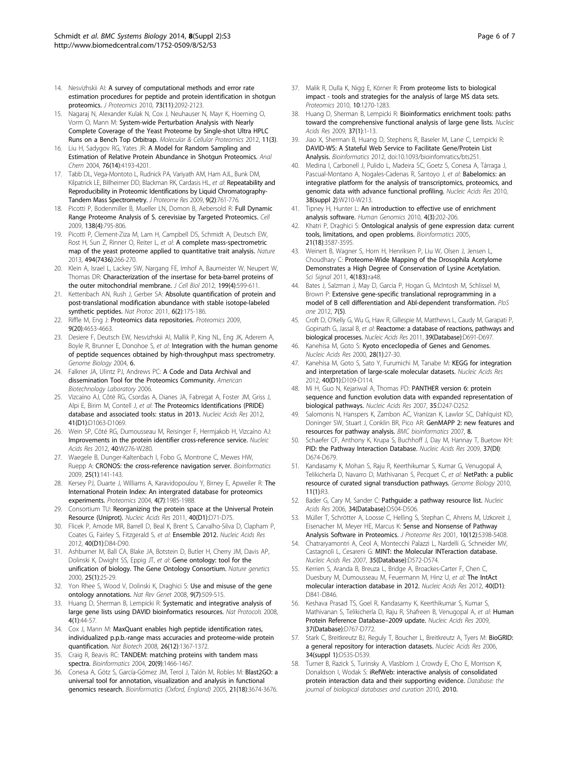- <span id="page-5-0"></span>14. Nesvizhskij AI: [A survey of computational methods and error rate](http://www.ncbi.nlm.nih.gov/pubmed/20816881?dopt=Abstract) [estimation procedures for peptide and protein identification in shotgun](http://www.ncbi.nlm.nih.gov/pubmed/20816881?dopt=Abstract) [proteomics.](http://www.ncbi.nlm.nih.gov/pubmed/20816881?dopt=Abstract) J Proteomics 2010, 73(11):2092-2123.
- 15. Nagaraj N, Alexander Kulak N, Cox J, Neuhauser N, Mayr K, Hoerning O, Vorm O, Mann M: [System-wide Perturbation Analysis with Nearly](http://www.ncbi.nlm.nih.gov/pubmed/22021278?dopt=Abstract) [Complete Coverage of the Yeast Proteome by Single-shot Ultra HPLC](http://www.ncbi.nlm.nih.gov/pubmed/22021278?dopt=Abstract) [Runs on a Bench Top Orbitrap.](http://www.ncbi.nlm.nih.gov/pubmed/22021278?dopt=Abstract) Molecular & Cellular Proteomics 2012, 11(3).
- 16. Liu H, Sadygov RG, Yates JR: [A Model for Random Sampling and](http://www.ncbi.nlm.nih.gov/pubmed/15253663?dopt=Abstract) [Estimation of Relative Protein Abundance in Shotgun Proteomics.](http://www.ncbi.nlm.nih.gov/pubmed/15253663?dopt=Abstract) Anal Chem 2004, 76(14):4193-4201.
- 17. Tabb DL, Vega-Montoto L, Rudnick PA, Variyath AM, Ham AJL, Bunk DM, Kilpatrick LE, Billheimer DD, Blackman RK, Cardasis HL, et al: [Repeatability and](http://www.ncbi.nlm.nih.gov/pubmed/19921851?dopt=Abstract) [Reproducibility in Proteomic Identifications by Liquid Chromatography-](http://www.ncbi.nlm.nih.gov/pubmed/19921851?dopt=Abstract)[Tandem Mass Spectrometry.](http://www.ncbi.nlm.nih.gov/pubmed/19921851?dopt=Abstract) J Proteome Res 2009, 9(2):761-776.
- 18. Picotti P, Bodenmiller B, Mueller LN, Domon B, Aebersold R: [Full Dynamic](http://www.ncbi.nlm.nih.gov/pubmed/19664813?dopt=Abstract) [Range Proteome Analysis of S. cerevisiae by Targeted Proteomics.](http://www.ncbi.nlm.nih.gov/pubmed/19664813?dopt=Abstract) Cell 2009, 138(4):795-806.
- 19. Picotti P, Clement-Ziza M, Lam H, Campbell DS, Schmidt A, Deutsch EW, Rost H, Sun Z, Rinner O, Reiter L, et al: [A complete mass-spectrometric](http://www.ncbi.nlm.nih.gov/pubmed/23334424?dopt=Abstract) [map of the yeast proteome applied to quantitative trait analysis.](http://www.ncbi.nlm.nih.gov/pubmed/23334424?dopt=Abstract) Nature 2013, 494(7436):266-270.
- 20. Klein A, Israel L, Lackey SW, Nargang FE, Imhof A, Baumeister W, Neupert W, Thomas DR: [Characterization of the insertase for beta-barrel proteins of](http://www.ncbi.nlm.nih.gov/pubmed/23128244?dopt=Abstract) [the outer mitochondrial membrane.](http://www.ncbi.nlm.nih.gov/pubmed/23128244?dopt=Abstract) J Cell Biol 2012, 199(4):599-611.
- 21. Kettenbach AN, Rush J, Gerber SA: [Absolute quantification of protein and](http://www.ncbi.nlm.nih.gov/pubmed/21293459?dopt=Abstract) [post-translational modification abundance with stable isotope-labeled](http://www.ncbi.nlm.nih.gov/pubmed/21293459?dopt=Abstract) [synthetic peptides.](http://www.ncbi.nlm.nih.gov/pubmed/21293459?dopt=Abstract) Nat Protoc 2011, 6(2):175-186.
- 22. Riffle M, Eng J: [Proteomics data repositories.](http://www.ncbi.nlm.nih.gov/pubmed/19795424?dopt=Abstract) Proteomics 2009, 9(20):4653-4663.
- 23. Desiere F, Deutsch EW, Nesvizhskii AI, Mallik P, King NL, Eng JK, Aderem A, Boyle R, Brunner E, Donohoe S, et al: [Integration with the human genome](http://www.ncbi.nlm.nih.gov/pubmed/15642101?dopt=Abstract) [of peptide sequences obtained by high-throughput mass spectrometry.](http://www.ncbi.nlm.nih.gov/pubmed/15642101?dopt=Abstract) Genome Biology 2004, 6.
- 24. Falkner JA, Ulintz PJ, Andrews PC: A Code and Data Archival and dissemination Tool for the Proteomics Community. American Biotechnology Laboratory 2006.
- 25. Vizcaíno AJ, Côté RG, Csordas A, Dianes JA, Fabregat A, Foster JM, Griss J, Alpi E, Birim M, Contell J, et al: [The Proteomics Identifications \(PRIDE\)](http://www.ncbi.nlm.nih.gov/pubmed/23203882?dopt=Abstract) [database and associated tools: status in 2013.](http://www.ncbi.nlm.nih.gov/pubmed/23203882?dopt=Abstract) Nucleic Acids Res 2012, 41(D1):D1063-D1069.
- 26. Wein SP, Côté RG, Dumousseau M, Reisinger F, Hermjakob H, Vizcaíno AJ: [Improvements in the protein identifier cross-reference service.](http://www.ncbi.nlm.nih.gov/pubmed/22544604?dopt=Abstract) Nucleic Acids Res 2012, 40:W276-W280.
- 27. Waegele B, Dunger-Kaltenbach I, Fobo G, Montrone C, Mewes HW, Ruepp A: [CRONOS: the cross-reference navigation server.](http://www.ncbi.nlm.nih.gov/pubmed/19010804?dopt=Abstract) Bioinformatics 2009, 25(1):141-143.
- 28. Kersey PJ, Duarte J, Williams A, Karavidopoulou Y, Birney E, Apweiler R: [The](http://www.ncbi.nlm.nih.gov/pubmed/15221759?dopt=Abstract) [International Protein Index: An intergrated database for proteomics](http://www.ncbi.nlm.nih.gov/pubmed/15221759?dopt=Abstract) [experiments.](http://www.ncbi.nlm.nih.gov/pubmed/15221759?dopt=Abstract) Proteomics 2004, 4(7):1985-1988.
- 29. Consortium TU: [Reorganizing the protein space at the Universal Protein](http://www.ncbi.nlm.nih.gov/pubmed/22102590?dopt=Abstract) [Resource \(Uniprot\).](http://www.ncbi.nlm.nih.gov/pubmed/22102590?dopt=Abstract) Nucleic Acids Res 2011, 40(D1):D71-D75.
- 30. Flicek P, Amode MR, Barrell D, Beal K, Brent S, Carvalho-Silva D, Clapham P, Coates G, Fairley S, Fitzgerald S, et al: [Ensemble 2012.](http://www.ncbi.nlm.nih.gov/pubmed/22086963?dopt=Abstract) Nucleic Acids Res 2012, 40(D1):D84-D90.
- 31. Ashburner M, Ball CA, Blake JA, Botstein D, Butler H, Cherry JM, Davis AP, Dolinski K, Dwight SS, Eppig JT, et al: [Gene ontology: tool for the](http://www.ncbi.nlm.nih.gov/pubmed/10802651?dopt=Abstract) [unification of biology. The Gene Ontology Consortium.](http://www.ncbi.nlm.nih.gov/pubmed/10802651?dopt=Abstract) Nature genetics 2000, 25(1):25-29.
- 32. Yon Rhee S, Wood V, Dolinski K, Draghici S: [Use and misuse of the gene](http://www.ncbi.nlm.nih.gov/pubmed/18475267?dopt=Abstract) [ontology annotations.](http://www.ncbi.nlm.nih.gov/pubmed/18475267?dopt=Abstract) Nat Rev Genet 2008, 9(7):509-515.
- 33. Huang D, Sherman B, Lempicki R: [Systematic and integrative analysis of](http://www.ncbi.nlm.nih.gov/pubmed/19131956?dopt=Abstract) [large gene lists using DAVID bioinformatics resources.](http://www.ncbi.nlm.nih.gov/pubmed/19131956?dopt=Abstract) Nat Protocols 2008, 4(1):44-57.
- 34. Cox J, Mann M: MaxQuant enables high peptide identification rates, individualized p.p.b.-range mass accuracies and proteome-wide protein quantification. Nat Biotech 2008, 26(12):1367-1372.
- 35. Craig R, Beavis RC: [TANDEM: matching proteins with tandem mass](http://www.ncbi.nlm.nih.gov/pubmed/14976030?dopt=Abstract) [spectra.](http://www.ncbi.nlm.nih.gov/pubmed/14976030?dopt=Abstract) Bioinformatics 2004, 20(9):1466-1467.
- 36. Conesa A, Götz S, García-Gómez JM, Terol J, Talón M, Robles M: [Blast2GO: a](http://www.ncbi.nlm.nih.gov/pubmed/16081474?dopt=Abstract) [universal tool for annotation, visualization and analysis in functional](http://www.ncbi.nlm.nih.gov/pubmed/16081474?dopt=Abstract) [genomics research.](http://www.ncbi.nlm.nih.gov/pubmed/16081474?dopt=Abstract) Bioinformatics (Oxford, England) 2005, 21(18):3674-3676.
- 37. Malik R, Dulla K, Nigg E, Körner R: [From proteome lists to biological](http://www.ncbi.nlm.nih.gov/pubmed/20077408?dopt=Abstract) [impact - tools and strategies for the analysis of large MS data sets.](http://www.ncbi.nlm.nih.gov/pubmed/20077408?dopt=Abstract) Proteomics 2010, 10:1270-1283.
- 38. Huang D, Sherman B, Lempicki R: [Bioinformatics enrichment tools: paths](http://www.ncbi.nlm.nih.gov/pubmed/19033363?dopt=Abstract) [toward the comprehensive functional analysis of large gene lists.](http://www.ncbi.nlm.nih.gov/pubmed/19033363?dopt=Abstract) Nucleic Acids Res 2009, 37(1):1-13.
- 39. Jiao X, Sherman B, Huang D, Stephens R, Baseler M, Lane C, Lempicki R: [DAVID-WS: A Stateful Web Service to Facilitate Gene/Protein List](http://www.ncbi.nlm.nih.gov/pubmed/22543366?dopt=Abstract) [Analysis.](http://www.ncbi.nlm.nih.gov/pubmed/22543366?dopt=Abstract) Bioinformatics 2012, doi:10.1093/bioinfomratics/bts251.
- 40. Medina I, Carbonell J, Pulido L, Madeira SC, Goetz S, Conesa A, Tárraga J, Pascual-Montano A, Nogales-Cadenas R, Santoyo J, et al: [Babelomics: an](http://www.ncbi.nlm.nih.gov/pubmed/20478823?dopt=Abstract) [integrative platform for the analysis of transcriptomics, proteomics, and](http://www.ncbi.nlm.nih.gov/pubmed/20478823?dopt=Abstract) genomic [data with advance functional profiling.](http://www.ncbi.nlm.nih.gov/pubmed/20478823?dopt=Abstract) Nucleic Acids Res 2010, 38(suppl 2):W210-W213.
- 41. Tipney H, Hunter L: [An introduction to effective use of enrichment](http://www.ncbi.nlm.nih.gov/pubmed/20368141?dopt=Abstract) [analysis software.](http://www.ncbi.nlm.nih.gov/pubmed/20368141?dopt=Abstract) Human Genomics 2010, 4(3):202-206.
- 42. Khatri P, Draghici S: [Ontological analysis of gene expression data: current](http://www.ncbi.nlm.nih.gov/pubmed/15994189?dopt=Abstract) [tools, limitations, and open problems.](http://www.ncbi.nlm.nih.gov/pubmed/15994189?dopt=Abstract) Bioinformatics 2005, 21(18):3587-3595.
- 43. Weinert B, Wagner S, Horn H, Henriksen P, Liu W, Olsen J, Jensen L, Choudhary C: [Proteome-Wide Mapping of the Drosophila Acetylome](http://www.ncbi.nlm.nih.gov/pubmed/21791702?dopt=Abstract) [Demonstrates a High Degree of Conservation of Lysine Acetylation.](http://www.ncbi.nlm.nih.gov/pubmed/21791702?dopt=Abstract) Sci Signal 2011, 4(183):ra48.
- 44. Bates J, Salzman J, May D, Garcia P, Hogan G, McIntosh M, Schlissel M, Brown P: [Extensive gene-specific translational reprogramming in a](http://www.ncbi.nlm.nih.gov/pubmed/22693568?dopt=Abstract) [model of B cell differentiation and Abl-dependent transformation.](http://www.ncbi.nlm.nih.gov/pubmed/22693568?dopt=Abstract) PloS one 2012, 7(5).
- 45. Croft D, O'Kelly G, Wu G, Haw R, Gillespie M, Matthews L, Caudy M, Garapati P, Gopinath G, Jassal B, et al: [Reactome: a database of reactions, pathways and](http://www.ncbi.nlm.nih.gov/pubmed/21067998?dopt=Abstract) [biological processes.](http://www.ncbi.nlm.nih.gov/pubmed/21067998?dopt=Abstract) Nucleic Acids Res 2011, 39(Database):D691-D697.
- 46. Kanehisa M, Goto S: [Kyoto enceclopedia of Genes and Genomes.](http://www.ncbi.nlm.nih.gov/pubmed/10592173?dopt=Abstract) Nucleic Acids Res 2000, 28(1):27-30.
- 47. Kanehisa M, Goto S, Sato Y, Furumichi M, Tanabe M: [KEGG for integration](http://www.ncbi.nlm.nih.gov/pubmed/22080510?dopt=Abstract) [and interpretation of large-scale molecular datasets.](http://www.ncbi.nlm.nih.gov/pubmed/22080510?dopt=Abstract) Nucleic Acids Res 2012, 40(D1):D109-D114.
- 48. Mi H, Guo N, Kejariwal A, Thomas PD: [PANTHER version 6: protein](http://www.ncbi.nlm.nih.gov/pubmed/17130144?dopt=Abstract) [sequence and function evolution data with expanded representation of](http://www.ncbi.nlm.nih.gov/pubmed/17130144?dopt=Abstract) [biological pathways.](http://www.ncbi.nlm.nih.gov/pubmed/17130144?dopt=Abstract) Nucleic Acids Res 2007, 35:D247-D252.
- Salomonis N, Hanspers K, Zambon AC, Vranizan K, Lawlor SC, Dahlquist KD, Doninger SW, Stuart J, Conklin BR, Pico AR: [GenMAPP 2: new features and](http://www.ncbi.nlm.nih.gov/pubmed/17588266?dopt=Abstract) [resources for pathway analysis.](http://www.ncbi.nlm.nih.gov/pubmed/17588266?dopt=Abstract) BMC bioinformatics 2007, 8.
- 50. Schaefer CF, Anthony K, Krupa S, Buchhoff J, Day M, Hannay T, Buetow KH: [PID: the Pathway Interaction Database.](http://www.ncbi.nlm.nih.gov/pubmed/18832364?dopt=Abstract) Nucleic Acids Res 2009, 37(DI): D674-D679.
- 51. Kandasamy K, Mohan S, Raju R, Keerthikumar S, Kumar G, Venugopal A, Telikicherla D, Navarro D, Mathivanan S, Pecquet C, et al: [NetPath: a public](http://www.ncbi.nlm.nih.gov/pubmed/20067622?dopt=Abstract) [resource of curated signal transduction pathways.](http://www.ncbi.nlm.nih.gov/pubmed/20067622?dopt=Abstract) Genome Biology 2010, 11(1):R3.
- 52. Bader G, Cary M, Sander C: [Pathguide: a pathway resource list.](http://www.ncbi.nlm.nih.gov/pubmed/16381921?dopt=Abstract) Nucleic Acids Res 2006, 34(Database):D504-D506.
- 53. Müller T, Schrötter A, Loosse C, Helling S, Stephan C, Ahrens M, Uzkoreit J, Eisenacher M, Meyer HE, Marcus K: Sense [and Nonsense of Pathway](http://www.ncbi.nlm.nih.gov/pubmed/21978018?dopt=Abstract) [Analysis Software in Proteomics.](http://www.ncbi.nlm.nih.gov/pubmed/21978018?dopt=Abstract) J Proteome Res 2001, 10(12):5398-5408.
- 54. Chatraryamontri A, Ceol A, Montecchi Palazzi L, Nardelli G, Schneider MV, Castagnoli L, Cesareni G: [MINT: the Molecular INTeraction database.](http://www.ncbi.nlm.nih.gov/pubmed/17135203?dopt=Abstract) Nucleic Acids Res 2007, 35(Database):D572-D574.
- 55. Kerrien S, Aranda B, Breuza L, Bridge A, Broackes-Carter F, Chen C, Duesbury M, Dumousseau M, Feuermann M, Hinz U, et al: [The IntAct](http://www.ncbi.nlm.nih.gov/pubmed/22121220?dopt=Abstract) [molecular interaction database in 2012.](http://www.ncbi.nlm.nih.gov/pubmed/22121220?dopt=Abstract) Nucleic Acids Res 2012, 40(D1): D841-D846.
- 56. Keshava Prasad TS, Goel R, Kandasamy K, Keerthikumar S, Kumar S, Mathivanan S, Telikicherla D, Raju R, Shafreen B, Venugopal A, et al: [Human](http://www.ncbi.nlm.nih.gov/pubmed/18988627?dopt=Abstract) [Protein Reference Database](http://www.ncbi.nlm.nih.gov/pubmed/18988627?dopt=Abstract)–2009 update. Nucleic Acids Res 2009, 37(Database):D767-D772.
- 57. Stark C, Breitkreutz BJ, Reguly T, Boucher L, Breitkreutz A, Tyers M: [BioGRID:](http://www.ncbi.nlm.nih.gov/pubmed/16381927?dopt=Abstract) [a general repository for interaction datasets.](http://www.ncbi.nlm.nih.gov/pubmed/16381927?dopt=Abstract) Nucleic Acids Res 2006, 34(suppl 1):D535-D539.
- 58. Turner B, Razick S, Turinsky A, Vlasblom J, Crowdy E, Cho E, Morrison K, Donaldson I, Wodak S: [iRefWeb: interactive analysis of consolidated](http://www.ncbi.nlm.nih.gov/pubmed/20940177?dopt=Abstract) [protein interaction data and their supporting evidence.](http://www.ncbi.nlm.nih.gov/pubmed/20940177?dopt=Abstract) Database: the journal of biological databases and curation 2010, 2010.